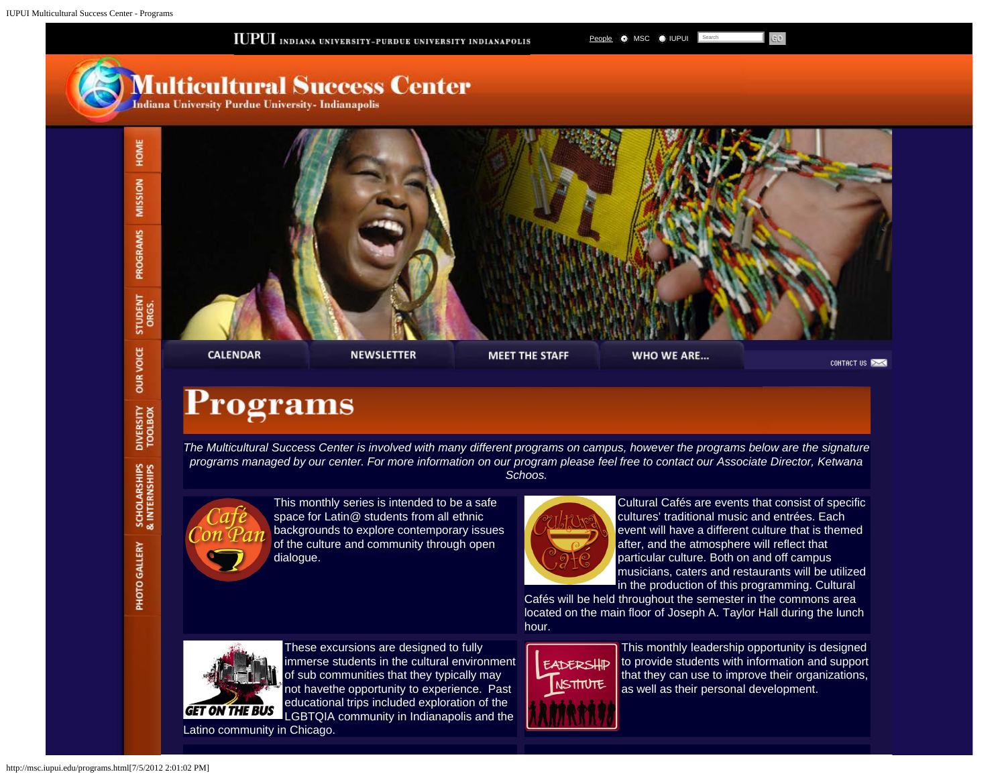<span id="page-0-0"></span>

## **Programs**

*The Multicultural Success Center is involved with many different programs on campus, however the programs below are the signature programs managed by our center. For more information on our program please feel free to contact our Associate Director, Ketwana Schoos.*



DIVERSITY<br>TOOLBOX

SCHOLARSHIPS<br>& INTERNSHIPS

PHOTO GALLERY

This monthly series is intended to be a safe space for Latin@ students from all ethnic backgrounds to explore contemporary issues of the culture and community through open dialogue.



Cultural Cafés are events that consist of specific cultures' traditional music and entrées. Each event will have a different culture that is themed after, and the atmosphere will reflect that particular culture. Both on and off campus musicians, caters and restaurants will be utilized in the production of this programming. Cultural

Cafés will be held throughout the semester in the commons area located on the main floor of Joseph A. Taylor Hall during the lunch hour.



These excursions are designed to fully immerse students in the cultural environment of sub communities that they typically may not havethe opportunity to experience. Past educational trips included exploration of the LGBTQIA community in Indianapolis and the Latino community in Chicago.



This monthly leadership opportunity is designed to provide students with information and support that they can use to improve their organizations, as well as their personal development.